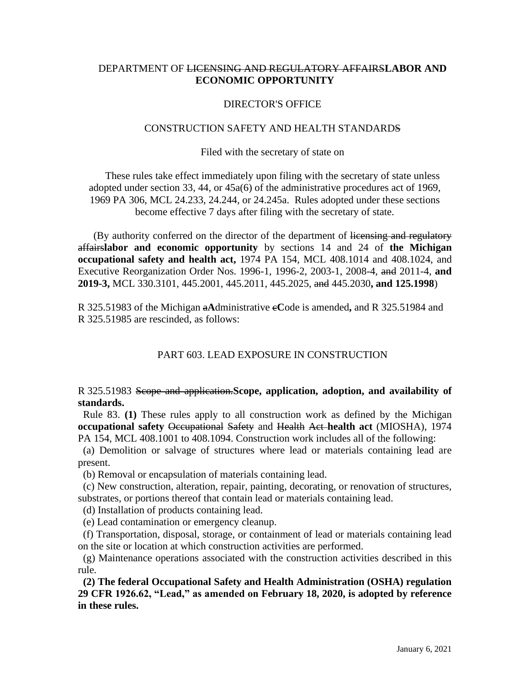# DEPARTMENT OF LICENSING AND REGULATORY AFFAIRS**LABOR AND ECONOMIC OPPORTUNITY**

## DIRECTOR'S OFFICE

### CONSTRUCTION SAFETY AND HEALTH STANDARDS

#### Filed with the secretary of state on

These rules take effect immediately upon filing with the secretary of state unless adopted under section 33, 44, or 45a(6) of the administrative procedures act of 1969, 1969 PA 306, MCL 24.233, 24.244, or 24.245a. Rules adopted under these sections become effective 7 days after filing with the secretary of state.

(By authority conferred on the director of the department of licensing and regulatory affairs**labor and economic opportunity** by sections 14 and 24 of **the Michigan occupational safety and health act,** 1974 PA 154, MCL 408.1014 and 408.1024, and Executive Reorganization Order Nos. 1996-1, 1996-2, 2003-1, 2008-4, and 2011-4, **and 2019-3,** MCL 330.3101, 445.2001, 445.2011, 445.2025, and 445.2030**, and 125.1998**)

R 325.51983 of the Michigan a**A**dministrative c**C**ode is amended**,** and R 325.51984 and R 325.51985 are rescinded, as follows:

## PART 603. LEAD EXPOSURE IN CONSTRUCTION

## R 325.51983 Scope and application.**Scope, application, adoption, and availability of standards.**

 Rule 83. **(1)** These rules apply to all construction work as defined by the Michigan **occupational safety** Occupational Safety and Health Act **health act** (MIOSHA), 1974 PA 154, MCL 408.1001 to 408.1094. Construction work includes all of the following:

 (a) Demolition or salvage of structures where lead or materials containing lead are present.

(b) Removal or encapsulation of materials containing lead.

 (c) New construction, alteration, repair, painting, decorating, or renovation of structures, substrates, or portions thereof that contain lead or materials containing lead.

(d) Installation of products containing lead.

(e) Lead contamination or emergency cleanup.

 (f) Transportation, disposal, storage, or containment of lead or materials containing lead on the site or location at which construction activities are performed.

 (g) Maintenance operations associated with the construction activities described in this rule.

 **(2) The federal Occupational Safety and Health Administration (OSHA) regulation 29 CFR 1926.62, "Lead," as amended on February 18, 2020, is adopted by reference in these rules.**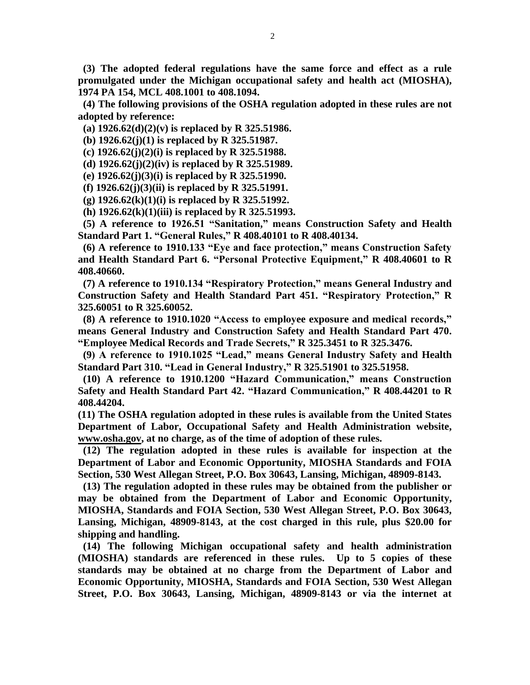**(3) The adopted federal regulations have the same force and effect as a rule promulgated under the Michigan occupational safety and health act (MIOSHA), 1974 PA 154, MCL 408.1001 to 408.1094.** 

 **(4) The following provisions of the OSHA regulation adopted in these rules are not adopted by reference:**

 **(a) 1926.62(d)(2)(v) is replaced by R 325.51986.**

 **(b) 1926.62(j)(1) is replaced by R 325.51987.**

 **(c) 1926.62(j)(2)(i) is replaced by R 325.51988.**

 **(d) 1926.62(j)(2)(iv) is replaced by R 325.51989.**

 **(e) 1926.62(j)(3)(i) is replaced by R 325.51990.**

 **(f) 1926.62(j)(3)(ii) is replaced by R 325.51991.**

 **(g) 1926.62(k)(1)(i) is replaced by R 325.51992.**

 **(h) 1926.62(k)(1)(iii) is replaced by R 325.51993.**

 **(5) A reference to 1926.51 "Sanitation," means Construction Safety and Health Standard Part 1. "General Rules," R 408.40101 to R 408.40134.**

 **(6) A reference to 1910.133 "Eye and face protection," means Construction Safety and Health Standard Part 6. "Personal Protective Equipment," R 408.40601 to R 408.40660.**

 **(7) A reference to 1910.134 "Respiratory Protection," means General Industry and Construction Safety and Health Standard Part 451. "Respiratory Protection," R 325.60051 to R 325.60052.**

 **(8) A reference to 1910.1020 "Access to employee exposure and medical records," means General Industry and Construction Safety and Health Standard Part 470. "Employee Medical Records and Trade Secrets," R 325.3451 to R 325.3476.**

 **(9) A reference to 1910.1025 "Lead," means General Industry Safety and Health Standard Part 310. "Lead in General Industry," R 325.51901 to 325.51958.**

 **(10) A reference to 1910.1200 "Hazard Communication," means Construction Safety and Health Standard Part 42. "Hazard Communication," R 408.44201 to R 408.44204.**

**(11) The OSHA regulation adopted in these rules is available from the United States Department of Labor, Occupational Safety and Health Administration website, [www.osha.gov,](http://www.osha.gov/) at no charge, as of the time of adoption of these rules.** 

 **(12) The regulation adopted in these rules is available for inspection at the Department of Labor and Economic Opportunity, MIOSHA Standards and FOIA Section, 530 West Allegan Street, P.O. Box 30643, Lansing, Michigan, 48909-8143.**

 **(13) The regulation adopted in these rules may be obtained from the publisher or may be obtained from the Department of Labor and Economic Opportunity, MIOSHA, Standards and FOIA Section, 530 West Allegan Street, P.O. Box 30643, Lansing, Michigan, 48909-8143, at the cost charged in this rule, plus \$20.00 for shipping and handling.**

 **(14) The following Michigan occupational safety and health administration (MIOSHA) standards are referenced in these rules. Up to 5 copies of these standards may be obtained at no charge from the Department of Labor and Economic Opportunity, MIOSHA, Standards and FOIA Section, 530 West Allegan Street, P.O. Box 30643, Lansing, Michigan, 48909-8143 or via the internet at**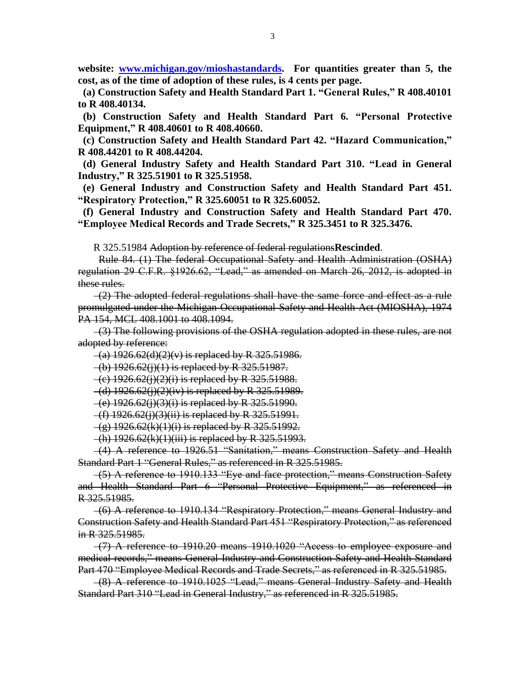**website: [www.michigan.gov/mioshastandards.](http://www.michigan.gov/mioshastandards) For quantities greater than 5, the cost, as of the time of adoption of these rules, is 4 cents per page.**

 **(a) Construction Safety and Health Standard Part 1. "General Rules," R 408.40101 to R 408.40134.**

 **(b) Construction Safety and Health Standard Part 6. "Personal Protective Equipment," R 408.40601 to R 408.40660.**

 **(c) Construction Safety and Health Standard Part 42. "Hazard Communication," R 408.44201 to R 408.44204.**

 **(d) General Industry Safety and Health Standard Part 310. "Lead in General Industry," R 325.51901 to R 325.51958.**

 **(e) General Industry and Construction Safety and Health Standard Part 451. "Respiratory Protection," R 325.60051 to R 325.60052.**

 **(f) General Industry and Construction Safety and Health Standard Part 470. "Employee Medical Records and Trade Secrets," R 325.3451 to R 325.3476.**

R 325.51984 Adoption by reference of federal regulations**Rescinded**.

 Rule 84. (1) The federal Occupational Safety and Health Administration (OSHA) regulation 29 C.F.R. §1926.62, "Lead," as amended on March 26, 2012, is adopted in these rules.

 $-(2)$  The adopted federal regulations shall have the same force and effect as a rule promulgated under the Michigan Occupational Safety and Health Act (MIOSHA), 1974 PA 154, MCL 408.1001 to 408.1094.

 (3) The following provisions of the OSHA regulation adopted in these rules, are not adopted by reference:

 $-(a)$  1926.62(d)(2)(v) is replaced by R 325.51986.

 $-(b)$  1926.62(j)(1) is replaced by R 325.51987.

 $-(c)$  1926.62(j)(2)(i) is replaced by R 325.51988.

 $-$ (d) 1926.62(j)(2)(iv) is replaced by R 325.51989.

 $-$ (e) 1926.62(j)(3)(i) is replaced by R 325.51990.

 $-(f)$  1926.62(j)(3)(ii) is replaced by R 325.51991.

 $-(g)$  1926.62(k)(1)(i) is replaced by R 325.51992.

 $-(h)$  1926.62 $(k)(1)(iii)$  is replaced by R 325.51993.

 (4) A reference to 1926.51 "Sanitation," means Construction Safety and Health Standard Part 1 "General Rules," as referenced in R 325.51985.

 (5) A reference to 1910.133 "Eye and face protection," means Construction Safety and Health Standard Part 6 "Personal Protective Equipment," as referenced in R 325.51985.

 (6) A reference to 1910.134 "Respiratory Protection," means General Industry and Construction Safety and Health Standard Part 451 "Respiratory Protection," as referenced in R 325.51985.

 $-(7)$  A reference to 1910.20 means 1910.1020 "Access to employee exposure and medical records," means General Industry and Construction Safety and Health Standard Part 470 "Employee Medical Records and Trade Secrets," as referenced in R 325.51985.

 (8) A reference to 1910.1025 "Lead," means General Industry Safety and Health Standard Part 310 "Lead in General Industry," as referenced in R 325.51985.